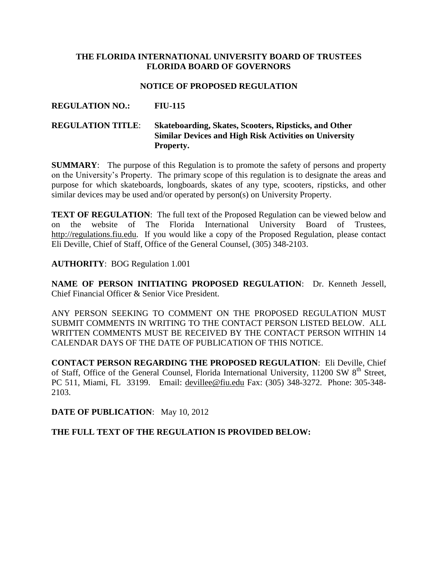#### **THE FLORIDA INTERNATIONAL UNIVERSITY BOARD OF TRUSTEES FLORIDA BOARD OF GOVERNORS**

#### **NOTICE OF PROPOSED REGULATION**

#### **REGULATION NO.: FIU-115**

#### **REGULATION TITLE**: **Skateboarding, Skates, Scooters, Ripsticks, and Other Similar Devices and High Risk Activities on University Property.**

**SUMMARY**: The purpose of this Regulation is to promote the safety of persons and property on the University's Property. The primary scope of this regulation is to designate the areas and purpose for which skateboards, longboards, skates of any type, scooters, ripsticks, and other similar devices may be used and/or operated by person(s) on University Property.

**TEXT OF REGULATION:** The full text of the Proposed Regulation can be viewed below and on the website of The Florida International University Board of Trustees, [http://regulations.fiu.edu.](http://regulations.fiu.edu/) If you would like a copy of the Proposed Regulation, please contact Eli Deville, Chief of Staff, Office of the General Counsel, (305) 348-2103.

**AUTHORITY**: BOG Regulation 1.001

**NAME OF PERSON INITIATING PROPOSED REGULATION**: Dr. Kenneth Jessell, Chief Financial Officer & Senior Vice President.

ANY PERSON SEEKING TO COMMENT ON THE PROPOSED REGULATION MUST SUBMIT COMMENTS IN WRITING TO THE CONTACT PERSON LISTED BELOW. ALL WRITTEN COMMENTS MUST BE RECEIVED BY THE CONTACT PERSON WITHIN 14 CALENDAR DAYS OF THE DATE OF PUBLICATION OF THIS NOTICE.

**CONTACT PERSON REGARDING THE PROPOSED REGULATION**: Eli Deville, Chief of Staff, Office of the General Counsel, Florida International University, 11200 SW 8<sup>th</sup> Street, PC 511, Miami, FL 33199. Email: [devillee@fiu.edu](mailto:devillee@fiu.edu) Fax: (305) 348-3272. Phone: 305-348- 2103.

**DATE OF PUBLICATION**: May 10, 2012

**THE FULL TEXT OF THE REGULATION IS PROVIDED BELOW:**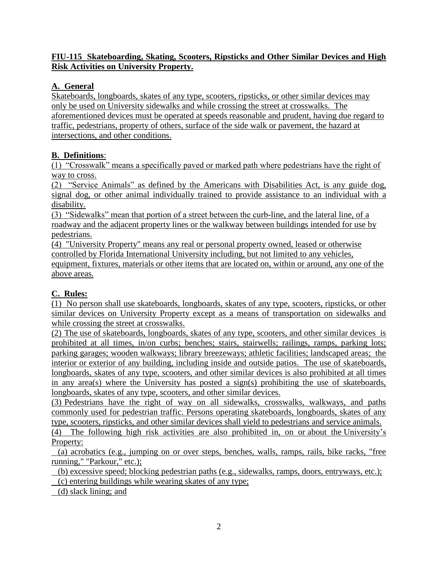### **FIU-115 Skateboarding, Skating, Scooters, Ripsticks and Other Similar Devices and High Risk Activities on University Property.**

### **A. General**

Skateboards, longboards, skates of any type, scooters, ripsticks, or other similar devices may only be used on University sidewalks and while crossing the street at crosswalks. The aforementioned devices must be operated at speeds reasonable and prudent, having due regard to traffic, pedestrians, property of others, surface of the side walk or pavement, the hazard at intersections, and other conditions.

### **B. Definitions**:

(1) "Crosswalk" means a specifically paved or marked path where pedestrians have the right of way to cross.

(2) "Service Animals" as defined by the Americans with Disabilities Act, is any guide dog, signal dog, or other animal individually trained to provide assistance to an individual with a disability.

(3) "Sidewalks" mean that portion of a street between the curb-line, and the lateral line, of a roadway and the adjacent property lines or the walkway between buildings intended for use by pedestrians.

(4) "University Property" means any real or personal property owned, leased or otherwise controlled by Florida International University including, but not limited to any vehicles, equipment, fixtures, materials or other items that are located on, within or around, any one of the above areas.

# **C. Rules:**

(1) No person shall use skateboards, longboards, skates of any type, scooters, ripsticks, or other similar devices on University Property except as a means of transportation on sidewalks and while crossing the street at crosswalks.

(2) The use of skateboards, longboards, skates of any type, scooters, and other similar devices is prohibited at all times, in/on curbs; benches; stairs, stairwells; railings, ramps, parking lots; parking garages; wooden walkways; library breezeways; athletic facilities; landscaped areas; the interior or exterior of any building, including inside and outside patios. The use of skateboards, longboards, skates of any type, scooters, and other similar devices is also prohibited at all times in any area(s) where the University has posted a sign(s) prohibiting the use of skateboards, longboards, skates of any type, scooters, and other similar devices.

(3) Pedestrians have the right of way on all sidewalks, crosswalks, walkways, and paths commonly used for pedestrian traffic. Persons operating skateboards, longboards, skates of any type, scooters, ripsticks, and other similar devices shall yield to pedestrians and service animals.

(4) The following high risk activities are also prohibited in, on or about the University's Property:

 (a) acrobatics (e.g., jumping on or over steps, benches, walls, ramps, rails, bike racks, "free running," "Parkour," etc.);

 (b) excessive speed; blocking pedestrian paths (e.g., sidewalks, ramps, doors, entryways, etc.); (c) entering buildings while wearing skates of any type;

(d) slack lining; and